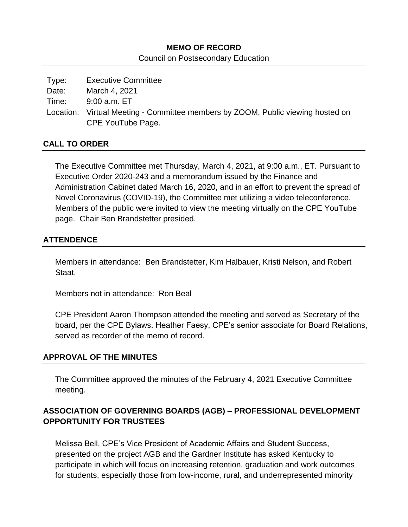# **MEMO OF RECORD**

Council on Postsecondary Education

Type: Executive Committee Date: March 4, 2021 Time: 9:00 a.m. ET Location: Virtual Meeting - Committee members by ZOOM, Public viewing hosted on CPE YouTube Page.

### **CALL TO ORDER**

The Executive Committee met Thursday, March 4, 2021, at 9:00 a.m., ET. Pursuant to Executive Order 2020-243 and a memorandum issued by the Finance and Administration Cabinet dated March 16, 2020, and in an effort to prevent the spread of Novel Coronavirus (COVID-19), the Committee met utilizing a video teleconference. Members of the public were invited to view the meeting virtually on the CPE YouTube page. Chair Ben Brandstetter presided.

## **ATTENDENCE**

Members in attendance: Ben Brandstetter, Kim Halbauer, Kristi Nelson, and Robert Staat.

Members not in attendance: Ron Beal

CPE President Aaron Thompson attended the meeting and served as Secretary of the board, per the CPE Bylaws. Heather Faesy, CPE's senior associate for Board Relations, served as recorder of the memo of record.

#### **APPROVAL OF THE MINUTES**

The Committee approved the minutes of the February 4, 2021 Executive Committee meeting.

# **ASSOCIATION OF GOVERNING BOARDS (AGB) – PROFESSIONAL DEVELOPMENT OPPORTUNITY FOR TRUSTEES**

Melissa Bell, CPE's Vice President of Academic Affairs and Student Success, presented on the project AGB and the Gardner Institute has asked Kentucky to participate in which will focus on increasing retention, graduation and work outcomes for students, especially those from low-income, rural, and underrepresented minority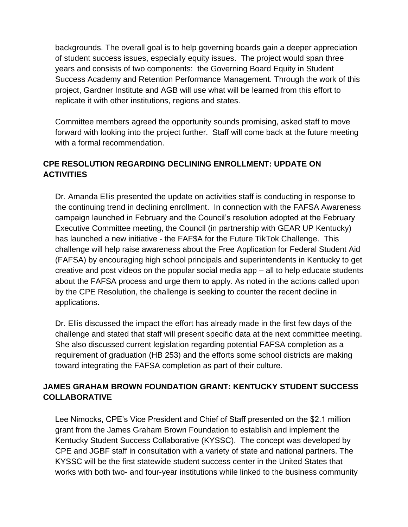backgrounds. The overall goal is to help governing boards gain a deeper appreciation of student success issues, especially equity issues. The project would span three years and consists of two components: the Governing Board Equity in Student Success Academy and Retention Performance Management. Through the work of this project, Gardner Institute and AGB will use what will be learned from this effort to replicate it with other institutions, regions and states.

Committee members agreed the opportunity sounds promising, asked staff to move forward with looking into the project further. Staff will come back at the future meeting with a formal recommendation.

# **CPE RESOLUTION REGARDING DECLINING ENROLLMENT: UPDATE ON ACTIVITIES**

Dr. Amanda Ellis presented the update on activities staff is conducting in response to the continuing trend in declining enrollment. In connection with the FAFSA Awareness campaign launched in February and the Council's resolution adopted at the February Executive Committee meeting, the Council (in partnership with GEAR UP Kentucky) has launched a new initiative - the FAF\$A for the Future TikTok Challenge. This challenge will help raise awareness about the Free Application for Federal Student Aid (FAFSA) by encouraging high school principals and superintendents in Kentucky to get creative and post videos on the popular social media app – all to help educate students about the FAFSA process and urge them to apply. As noted in the actions called upon by the CPE Resolution, the challenge is seeking to counter the recent decline in applications.

Dr. Ellis discussed the impact the effort has already made in the first few days of the challenge and stated that staff will present specific data at the next committee meeting. She also discussed current legislation regarding potential FAFSA completion as a requirement of graduation (HB 253) and the efforts some school districts are making toward integrating the FAFSA completion as part of their culture.

## **JAMES GRAHAM BROWN FOUNDATION GRANT: KENTUCKY STUDENT SUCCESS COLLABORATIVE**

Lee Nimocks, CPE's Vice President and Chief of Staff presented on the \$2.1 million grant from the James Graham Brown Foundation to establish and implement the Kentucky Student Success Collaborative (KYSSC). The concept was developed by CPE and JGBF staff in consultation with a variety of state and national partners. The KYSSC will be the first statewide student success center in the United States that works with both two- and four-year institutions while linked to the business community